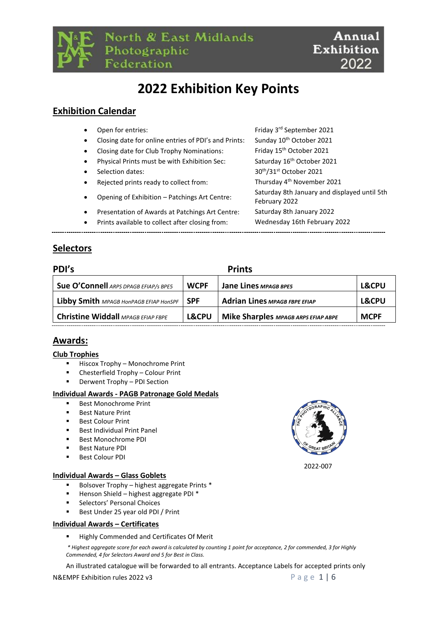

North & East Midlands Photographic Federation



# **2022 Exhibition Key Points**

### **Exhibition Calendar**

| $\bullet$ | Open for entries:                                    | Friday 3rd September 2021                                     |
|-----------|------------------------------------------------------|---------------------------------------------------------------|
| $\bullet$ | Closing date for online entries of PDI's and Prints: | Sunday 10 <sup>th</sup> October 2021                          |
| $\bullet$ | Closing date for Club Trophy Nominations:            | Friday 15 <sup>th</sup> October 2021                          |
| $\bullet$ | Physical Prints must be with Exhibition Sec:         | Saturday 16 <sup>th</sup> October 2021                        |
| $\bullet$ | Selection dates:                                     | 30 <sup>th</sup> /31 <sup>st</sup> October 2021               |
| $\bullet$ | Rejected prints ready to collect from:               | Thursday 4 <sup>th</sup> November 2021                        |
| $\bullet$ | Opening of Exhibition - Patchings Art Centre:        | Saturday 8th January and displayed until 5th<br>February 2022 |
| $\bullet$ | Presentation of Awards at Patchings Art Centre:      | Saturday 8th January 2022                                     |
| $\bullet$ | Prints available to collect after closing from:      | Wednesday 16th February 2022                                  |
|           |                                                      |                                                               |

### **Selectors**

| PDI's                                     | <b>Prints</b>    |                                            |                  |  |  |  |
|-------------------------------------------|------------------|--------------------------------------------|------------------|--|--|--|
| Sue O'Connell ARPS DPAGB EFIAP/S BPE5     | <b>WCPF</b>      | Jane Lines MPAGB BPE5                      | <b>L&amp;CPU</b> |  |  |  |
| Libby Smith MPAGB HonPAGB EFIAP HonSPF    | <b>SPF</b>       | <b>Adrian Lines MPAGB FBPE EFIAP</b>       | <b>L&amp;CPU</b> |  |  |  |
| <b>Christine Widdall MPAGB EFIAP FBPE</b> | <b>L&amp;CPU</b> | <b>Mike Sharples MPAGB ARPS EFIAP ABPE</b> | <b>MCPF</b>      |  |  |  |
|                                           |                  |                                            |                  |  |  |  |

### **Awards:**

#### **Club Trophies**

- Hiscox Trophy Monochrome Print
- Chesterfield Trophy Colour Print
- Derwent Trophy PDI Section

#### **Individual Awards - PAGB Patronage Gold Medals**

- **Best Monochrome Print**
- **Best Nature Print**
- **Best Colour Print**
- Best Individual Print Panel
- Best Monochrome PDI
- Best Nature PDI
- Best Colour PDI

#### **Individual Awards – Glass Goblets**

- Bolsover Trophy highest aggregate Prints \*
- Henson Shield highest aggregate PDI \*
- Selectors' Personal Choices
- Best Under 25 year old PDI / Print

#### **Individual Awards – Certificates**

Highly Commended and Certificates Of Merit

*\* Highest aggregate score for each award is calculated by counting 1 point for acceptance, 2 for commended, 3 for Highly Commended, 4 for Selectors Award and 5 for Best in Class.*

An illustrated catalogue will be forwarded to all entrants. Acceptance Labels for accepted prints only

#### N&EMPF Exhibition rules 2022 v3 P a g e  $1 \mid 6$

2022-007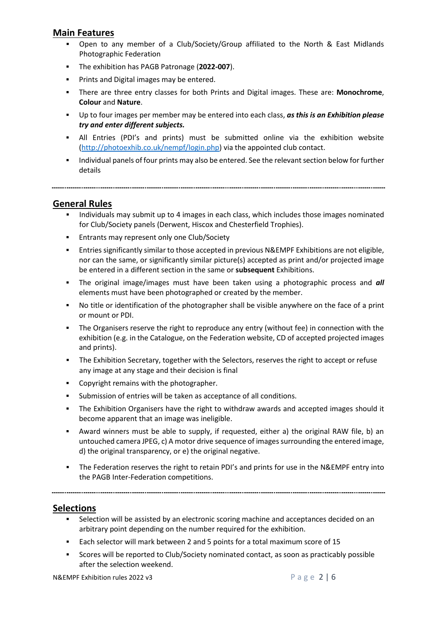### **Main Features**

- Open to any member of a Club/Society/Group affiliated to the North & East Midlands Photographic Federation
- The exhibition has PAGB Patronage (**2022-007**).
- **•** Prints and Digital images may be entered.
- There are three entry classes for both Prints and Digital images. These are: **Monochrome**, **Colour** and **Nature**.
- Up to four images per member may be entered into each class, *as this is an Exhibition please try and enter different subjects.*
- All Entries (PDI's and prints) must be submitted online via the exhibition website [\(http://photoexhib.co.uk/nempf/login.php\)](http://photoexhib.co.uk/nempf/login.php) via the appointed club contact.
- Individual panels of four prints may also be entered. See the relevant section below for further details

**General Rules**

- Individuals may submit up to 4 images in each class, which includes those images nominated for Club/Society panels (Derwent, Hiscox and Chesterfield Trophies).
- Entrants may represent only one Club/Society
- Entries significantly similar to those accepted in previous N&EMPF Exhibitions are not eligible, nor can the same, or significantly similar picture(s) accepted as print and/or projected image be entered in a different section in the same or **subsequent** Exhibitions.
- The original image/images must have been taken using a photographic process and *all*  elements must have been photographed or created by the member.
- No title or identification of the photographer shall be visible anywhere on the face of a print or mount or PDI.
- The Organisers reserve the right to reproduce any entry (without fee) in connection with the exhibition (e.g. in the Catalogue, on the Federation website, CD of accepted projected images and prints).
- The Exhibition Secretary, together with the Selectors, reserves the right to accept or refuse any image at any stage and their decision is final
- Copyright remains with the photographer.
- Submission of entries will be taken as acceptance of all conditions.
- The Exhibition Organisers have the right to withdraw awards and accepted images should it become apparent that an image was ineligible.
- Award winners must be able to supply, if requested, either a) the original RAW file, b) an untouched camera JPEG, c) A motor drive sequence of images surrounding the entered image, d) the original transparency, or e) the original negative.
- **•** The Federation reserves the right to retain PDI's and prints for use in the N&EMPF entry into the PAGB Inter-Federation competitions.

### **Selections**

- Selection will be assisted by an electronic scoring machine and acceptances decided on an arbitrary point depending on the number required for the exhibition.
- Each selector will mark between 2 and 5 points for a total maximum score of 15
- Scores will be reported to Club/Society nominated contact, as soon as practicably possible after the selection weekend.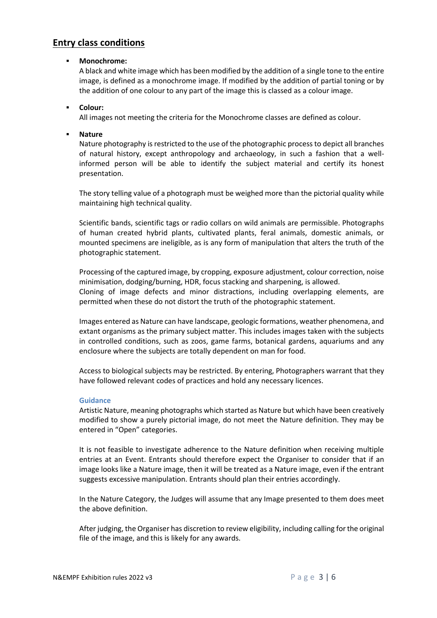### **Entry class conditions**

#### ▪ **Monochrome:**

A black and white image which has been modified by the addition of a single tone to the entire image, is defined as a monochrome image. If modified by the addition of partial toning or by the addition of one colour to any part of the image this is classed as a colour image.

#### ▪ **Colour:**

All images not meeting the criteria for the Monochrome classes are defined as colour.

#### ▪ **Nature**

Nature photography is restricted to the use of the photographic process to depict all branches of natural history, except anthropology and archaeology, in such a fashion that a wellinformed person will be able to identify the subject material and certify its honest presentation.

The story telling value of a photograph must be weighed more than the pictorial quality while maintaining high technical quality.

Scientific bands, scientific tags or radio collars on wild animals are permissible. Photographs of human created hybrid plants, cultivated plants, feral animals, domestic animals, or mounted specimens are ineligible, as is any form of manipulation that alters the truth of the photographic statement.

Processing of the captured image, by cropping, exposure adjustment, colour correction, noise minimisation, dodging/burning, HDR, focus stacking and sharpening, is allowed. Cloning of image defects and minor distractions, including overlapping elements, are permitted when these do not distort the truth of the photographic statement.

Images entered as Nature can have landscape, geologic formations, weather phenomena, and extant organisms as the primary subject matter. This includes images taken with the subjects in controlled conditions, such as zoos, game farms, botanical gardens, aquariums and any enclosure where the subjects are totally dependent on man for food.

Access to biological subjects may be restricted. By entering, Photographers warrant that they have followed relevant codes of practices and hold any necessary licences.

#### **Guidance**

Artistic Nature, meaning photographs which started as Nature but which have been creatively modified to show a purely pictorial image, do not meet the Nature definition. They may be entered in "Open" categories.

It is not feasible to investigate adherence to the Nature definition when receiving multiple entries at an Event. Entrants should therefore expect the Organiser to consider that if an image looks like a Nature image, then it will be treated as a Nature image, even if the entrant suggests excessive manipulation. Entrants should plan their entries accordingly.

In the Nature Category, the Judges will assume that any Image presented to them does meet the above definition.

After judging, the Organiser has discretion to review eligibility, including calling for the original file of the image, and this is likely for any awards.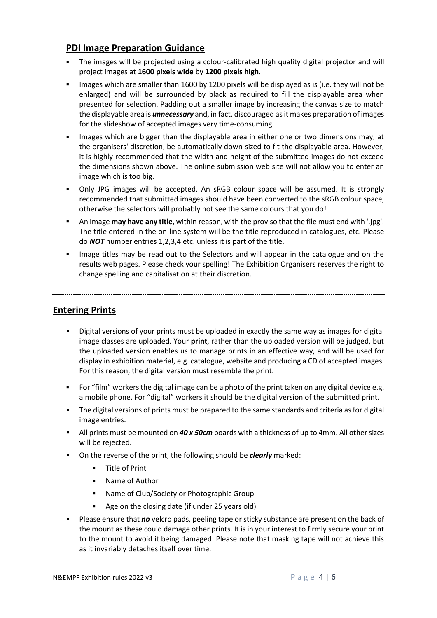### **PDI Image Preparation Guidance**

- The images will be projected using a colour-calibrated high quality digital projector and will project images at **1600 pixels wide** by **1200 pixels high**.
- Images which are smaller than 1600 by 1200 pixels will be displayed as is (i.e. they will not be enlarged) and will be surrounded by black as required to fill the displayable area when presented for selection. Padding out a smaller image by increasing the canvas size to match the displayable area is *unnecessary* and, in fact, discouraged as it makes preparation of images for the slideshow of accepted images very time-consuming.
- Images which are bigger than the displayable area in either one or two dimensions may, at the organisers' discretion, be automatically down-sized to fit the displayable area. However, it is highly recommended that the width and height of the submitted images do not exceed the dimensions shown above. The online submission web site will not allow you to enter an image which is too big.
- Only JPG images will be accepted. An sRGB colour space will be assumed. It is strongly recommended that submitted images should have been converted to the sRGB colour space, otherwise the selectors will probably not see the same colours that you do!
- An Image **may have any title**, within reason, with the proviso that the file must end with '.jpg'. The title entered in the on-line system will be the title reproduced in catalogues, etc. Please do *NOT* number entries 1,2,3,4 etc. unless it is part of the title.
- Image titles may be read out to the Selectors and will appear in the catalogue and on the results web pages. Please check your spelling! The Exhibition Organisers reserves the right to change spelling and capitalisation at their discretion.

### **Entering Prints**

- Digital versions of your prints must be uploaded in exactly the same way as images for digital image classes are uploaded. Your **print**, rather than the uploaded version will be judged, but the uploaded version enables us to manage prints in an effective way, and will be used for display in exhibition material, e.g. catalogue, website and producing a CD of accepted images. For this reason, the digital version must resemble the print.
- For "film" workers the digital image can be a photo of the print taken on any digital device e.g. a mobile phone. For "digital" workers it should be the digital version of the submitted print.
- The digital versions of prints must be prepared to the same standards and criteria as for digital image entries.
- All prints must be mounted on *40 x 50cm* boards with a thickness of up to 4mm. All other sizes will be rejected.
- On the reverse of the print, the following should be *clearly* marked:
	- **Title of Print**
	- Name of Author
	- Name of Club/Society or Photographic Group
	- Age on the closing date (if under 25 years old)
- Please ensure that *no* velcro pads, peeling tape or sticky substance are present on the back of the mount as these could damage other prints. It is in your interest to firmly secure your print to the mount to avoid it being damaged. Please note that masking tape will not achieve this as it invariably detaches itself over time.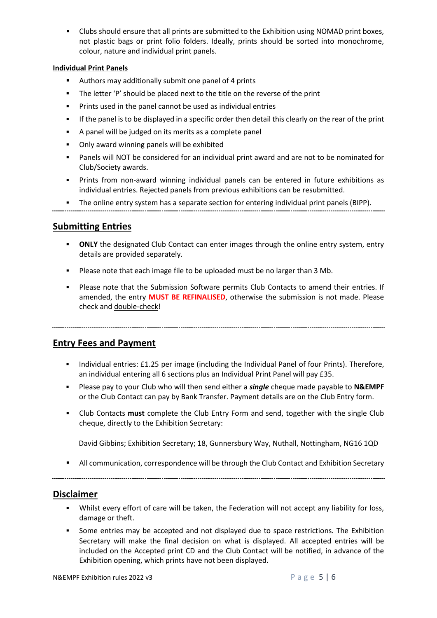Clubs should ensure that all prints are submitted to the Exhibition using NOMAD print boxes, not plastic bags or print folio folders. Ideally, prints should be sorted into monochrome, colour, nature and individual print panels.

#### **Individual Print Panels**

- Authors may additionally submit one panel of 4 prints
- The letter 'P' should be placed next to the title on the reverse of the print
- Prints used in the panel cannot be used as individual entries
- If the panel is to be displayed in a specific order then detail this clearly on the rear of the print
- A panel will be judged on its merits as a complete panel
- Only award winning panels will be exhibited
- Panels will NOT be considered for an individual print award and are not to be nominated for Club/Society awards.
- Prints from non-award winning individual panels can be entered in future exhibitions as individual entries. Rejected panels from previous exhibitions can be resubmitted.
- The online entry system has a separate section for entering individual print panels (BIPP).

### **Submitting Entries**

- **ONLY** the designated Club Contact can enter images through the online entry system, entry details are provided separately.
- Please note that each image file to be uploaded must be no larger than 3 Mb.
- Please note that the Submission Software permits Club Contacts to amend their entries. If amended, the entry **MUST BE REFINALISED**, otherwise the submission is not made. Please check and double-check!

### **Entry Fees and Payment**

- **■** Individual entries: £1.25 per image (including the Individual Panel of four Prints). Therefore, an individual entering all 6 sections plus an Individual Print Panel will pay £35.
- Please pay to your Club who will then send either a *single* cheque made payable to **N&EMPF** or the Club Contact can pay by Bank Transfer. Payment details are on the Club Entry form.
- Club Contacts **must** complete the Club Entry Form and send, together with the single Club cheque, directly to the Exhibition Secretary:

David Gibbins; Exhibition Secretary; 18, Gunnersbury Way, Nuthall, Nottingham, NG16 1QD

**E** All communication, correspondence will be through the Club Contact and Exhibition Secretary

### **Disclaimer**

- Whilst every effort of care will be taken, the Federation will not accept any liability for loss, damage or theft.
- Some entries may be accepted and not displayed due to space restrictions. The Exhibition Secretary will make the final decision on what is displayed. All accepted entries will be included on the Accepted print CD and the Club Contact will be notified, in advance of the Exhibition opening, which prints have not been displayed.